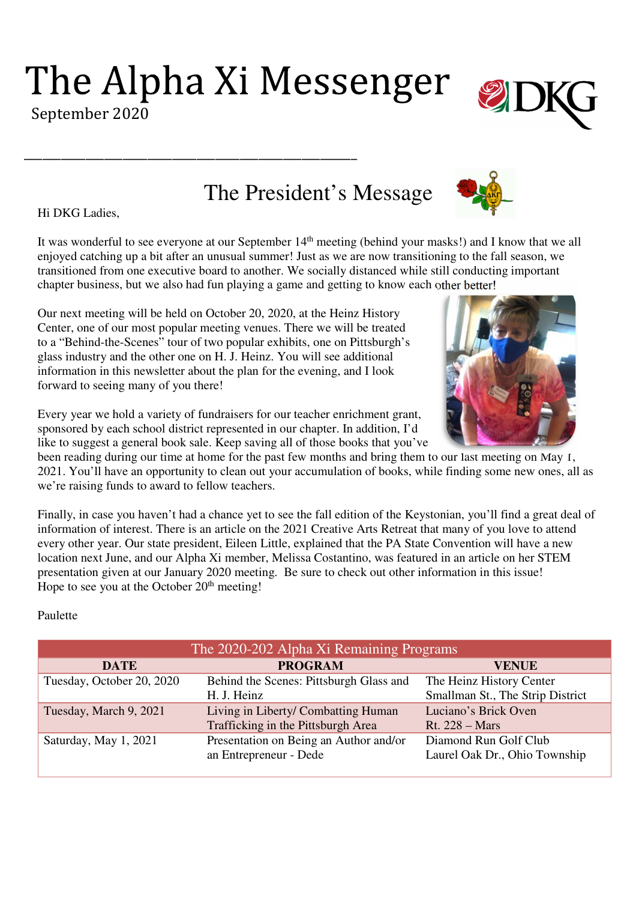The Alpha Xi Messenger

\_\_\_\_\_\_\_\_\_\_\_\_\_\_\_\_\_\_\_\_\_\_\_\_\_\_\_\_\_\_\_\_\_\_\_\_\_\_\_\_\_\_\_\_\_\_\_\_\_\_\_\_\_\_

The President's Message

Hi DKG Ladies,

It was wonderful to see everyone at our September 14<sup>th</sup> meeting (behind your masks!) and I know that we all enjoyed catching up a bit after an unusual summer! Just as we are now transitioning to the fall season, we transitioned from one executive board to another. We socially distanced while still conducting important chapter business, but we also had fun playing a game and getting to know each other better!

Our next meeting will be held on October 20, 2020, at the Heinz History Center, one of our most popular meeting venues. There we will be treated to a "Behind-the-Scenes" tour of two popular exhibits, one on Pittsburgh's glass industry and the other one on H. J. Heinz. You will see additional information in this newsletter about the plan for the evening, and I look forward to seeing many of you there!

Every year we hold a variety of fundraisers for our teacher enrichment grant, sponsored by each school district represented in our chapter. In addition, I'd like to suggest a general book sale. Keep saving all of those books that you've

been reading during our time at home for the past few months and bring them to our last meeting on May 1, 2021. You'll have an opportunity to clean out your accumulation of books, while finding some new ones, all as we're raising funds to award to fellow teachers.

Finally, in case you haven't had a chance yet to see the fall edition of the Keystonian, you'll find a great deal of information of interest. There is an article on the 2021 Creative Arts Retreat that many of you love to attend every other year. Our state president, Eileen Little, explained that the PA State Convention will have a new location next June, and our Alpha Xi member, Melissa Costantino, was featured in an article on her STEM presentation given at our January 2020 meeting. Be sure to check out other information in this issue! Hope to see you at the October  $20<sup>th</sup>$  meeting!

## Paulette

| The 2020-202 Alpha Xi Remaining Programs |                                         |                                  |
|------------------------------------------|-----------------------------------------|----------------------------------|
| <b>DATE</b>                              | <b>PROGRAM</b>                          | <b>VENUE</b>                     |
| Tuesday, October 20, 2020                | Behind the Scenes: Pittsburgh Glass and | The Heinz History Center         |
|                                          | H. J. Heinz                             | Smallman St., The Strip District |
| Tuesday, March 9, 2021                   | Living in Liberty/ Combatting Human     | Luciano's Brick Oven             |
|                                          | Trafficking in the Pittsburgh Area      | <b>Rt.</b> 228 – Mars            |
| Saturday, May 1, 2021                    | Presentation on Being an Author and/or  | Diamond Run Golf Club            |
|                                          | an Entrepreneur - Dede                  | Laurel Oak Dr., Ohio Township    |
|                                          |                                         |                                  |







September 2020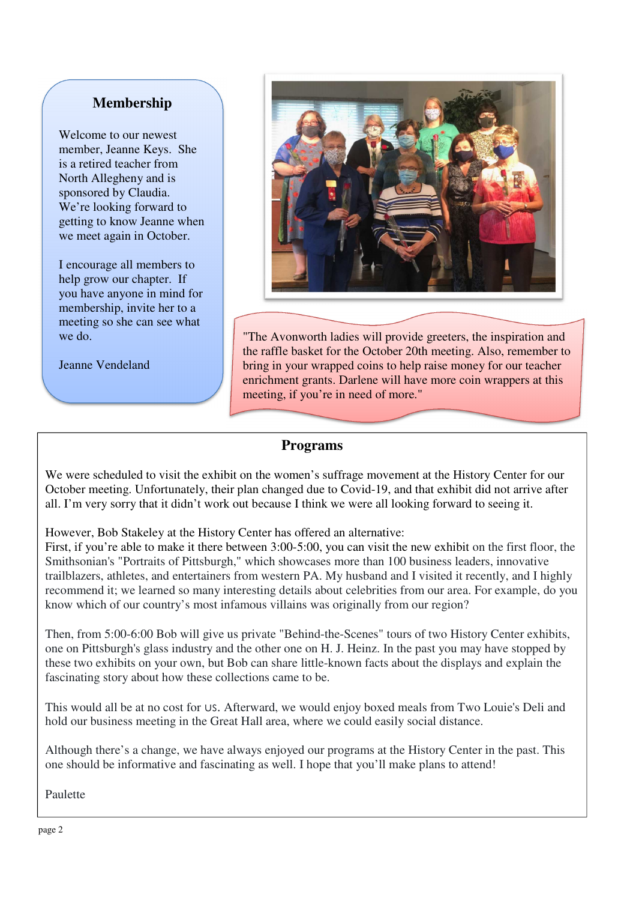# **Membership**

Welcome to our newest member, Jeanne Keys. She is a retired teacher from North Allegheny and is sponsored by Claudia. We're looking forward to getting to know Jeanne when we meet again in October.

I encourage all members to help grow our chapter. If you have anyone in mind for membership, invite her to a meeting so she can see what we do.

Jeanne Vendeland



"The Avonworth ladies will provide greeters, the inspiration and the raffle basket for the October 20th meeting. Also, remember to bring in your wrapped coins to help raise money for our teacher enrichment grants. Darlene will have more coin wrappers at this meeting, if you're in need of more."

## **Programs**

We were scheduled to visit the exhibit on the women's suffrage movement at the History Center for our October meeting. Unfortunately, their plan changed due to Covid-19, and that exhibit did not arrive after all. I'm very sorry that it didn't work out because I think we were all looking forward to seeing it.

However, Bob Stakeley at the History Center has offered an alternative:

First, if you're able to make it there between 3:00-5:00, you can visit the new exhibit on the first floor, the Smithsonian's "Portraits of Pittsburgh," which showcases more than 100 business leaders, innovative trailblazers, athletes, and entertainers from western PA. My husband and I visited it recently, and I highly recommend it; we learned so many interesting details about celebrities from our area. For example, do you know which of our country's most infamous villains was originally from our region?

Then, from 5:00-6:00 Bob will give us private "Behind-the-Scenes" tours of two History Center exhibits, one on Pittsburgh's glass industry and the other one on H. J. Heinz. In the past you may have stopped by these two exhibits on your own, but Bob can share little-known facts about the displays and explain the fascinating story about how these collections came to be.

This would all be at no cost for US. Afterward, we would enjoy boxed meals from Two Louie's Deli and hold our business meeting in the Great Hall area, where we could easily social distance.

Although there's a change, we have always enjoyed our programs at the History Center in the past. This one should be informative and fascinating as well. I hope that you'll make plans to attend!

Paulette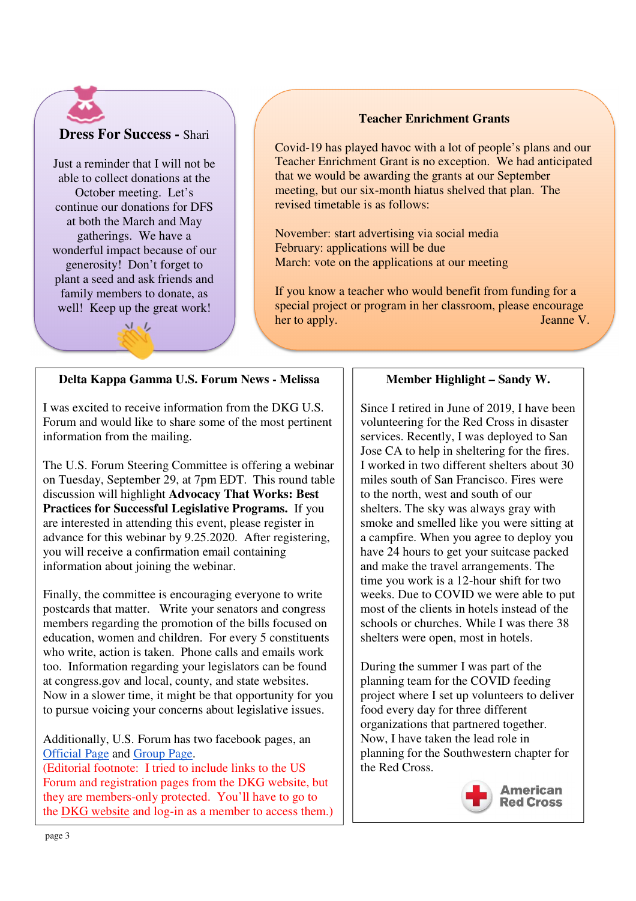## **Dress For Success -** Shari

Just a reminder that I will not be able to collect donations at the October meeting. Let's continue our donations for DFS at both the March and May gatherings. We have a wonderful impact because of our generosity! Don't forget to plant a seed and ask friends and family members to donate, as well! Keep up the great work!

メル

#### **Teacher Enrichment Grants**

Covid-19 has played havoc with a lot of people's plans and our Teacher Enrichment Grant is no exception. We had anticipated that we would be awarding the grants at our September meeting, but our six-month hiatus shelved that plan. The revised timetable is as follows:

November: start advertising via social media February: applications will be due March: vote on the applications at our meeting

If you know a teacher who would benefit from funding for a special project or program in her classroom, please encourage her to apply. Jeanne V.

## **Delta Kappa Gamma U.S. Forum News - Melissa**

I was excited to receive information from the DKG U.S. Forum and would like to share some of the most pertinent information from the mailing.

The U.S. Forum Steering Committee is offering a webinar on Tuesday, September 29, at 7pm EDT. This round table discussion will highlight **Advocacy That Works: Best Practices for Successful Legislative Programs.** If you are interested in attending this event, please register in advance for this webinar by 9.25.2020. After registering, you will receive a confirmation email containing information about joining the webinar.

Finally, the committee is encouraging everyone to write postcards that matter. Write your senators and congress members regarding the promotion of the bills focused on education, women and children. For every 5 constituents who write, action is taken. Phone calls and emails work too. Information regarding your legislators can be found at congress.gov and local, county, and state websites. Now in a slower time, it might be that opportunity for you to pursue voicing your concerns about legislative issues.

Additionally, U.S. Forum has two facebook pages, an Official Page and Group Page.

(Editorial footnote: I tried to include links to the US Forum and registration pages from the DKG website, but they are members-only protected. You'll have to go to the DKG website and log-in as a member to access them.)

## **Member Highlight – Sandy W.**

Since I retired in June of 2019, I have been volunteering for the Red Cross in disaster services. Recently, I was deployed to San Jose CA to help in sheltering for the fires. I worked in two different shelters about 30 miles south of San Francisco. Fires were to the north, west and south of our shelters. The sky was always gray with smoke and smelled like you were sitting at a campfire. When you agree to deploy you have 24 hours to get your suitcase packed and make the travel arrangements. The time you work is a 12-hour shift for two weeks. Due to COVID we were able to put most of the clients in hotels instead of the schools or churches. While I was there 38 shelters were open, most in hotels.

During the summer I was part of the planning team for the COVID feeding project where I set up volunteers to deliver food every day for three different organizations that partnered together. Now, I have taken the lead role in planning for the Southwestern chapter for the Red Cross.